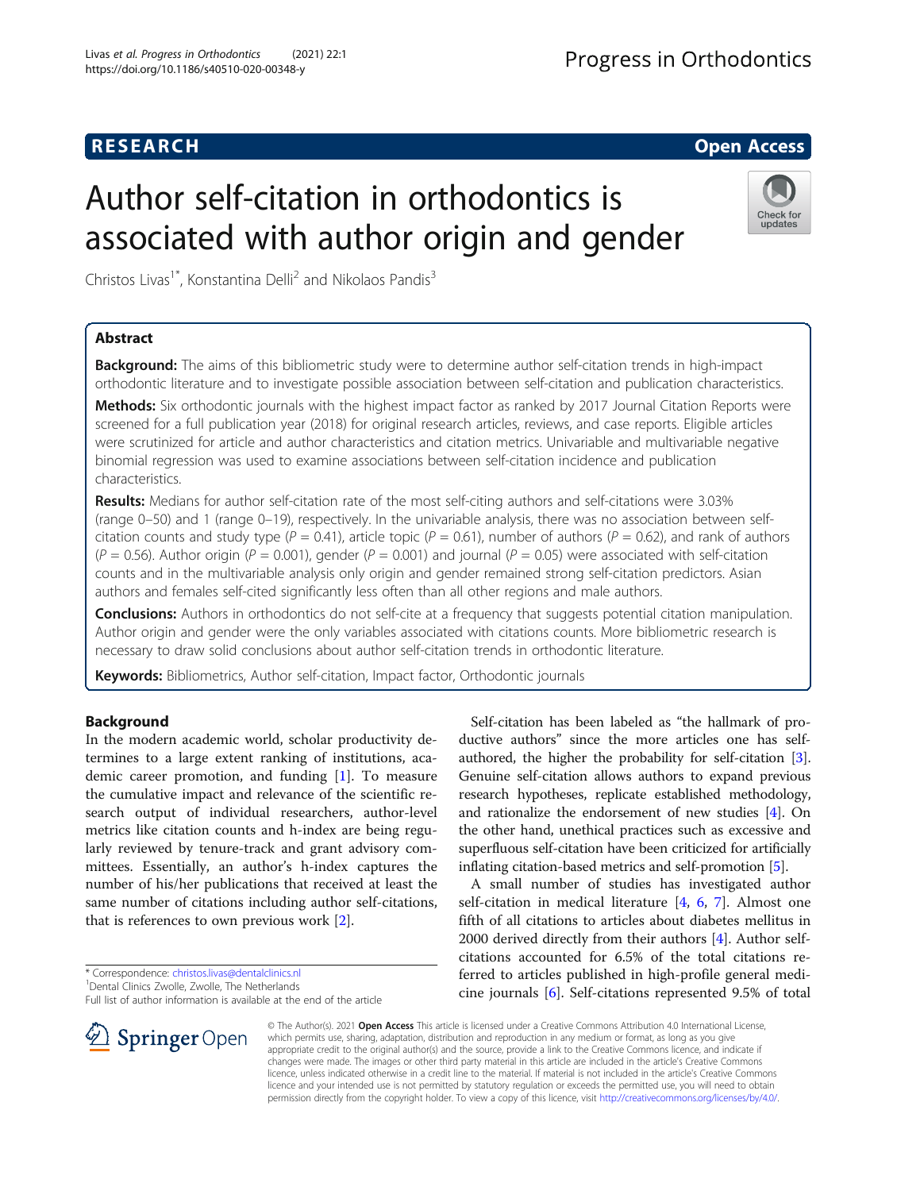## **RESEARCH CHE Open Access**

Check for updates

# Author self-citation in orthodontics is associated with author origin and gender

Christos Livas<sup>1\*</sup>, Konstantina Delli<sup>2</sup> and Nikolaos Pandis<sup>3</sup>

## Abstract

Background: The aims of this bibliometric study were to determine author self-citation trends in high-impact orthodontic literature and to investigate possible association between self-citation and publication characteristics.

Methods: Six orthodontic journals with the highest impact factor as ranked by 2017 Journal Citation Reports were screened for a full publication year (2018) for original research articles, reviews, and case reports. Eligible articles were scrutinized for article and author characteristics and citation metrics. Univariable and multivariable negative binomial regression was used to examine associations between self-citation incidence and publication characteristics.

Results: Medians for author self-citation rate of the most self-citing authors and self-citations were 3.03% (range 0–50) and 1 (range 0–19), respectively. In the univariable analysis, there was no association between selfcitation counts and study type (P = 0.41), article topic (P = 0.61), number of authors (P = 0.62), and rank of authors  $(P = 0.56)$ . Author origin (P = 0.001), gender (P = 0.001) and journal (P = 0.05) were associated with self-citation counts and in the multivariable analysis only origin and gender remained strong self-citation predictors. Asian authors and females self-cited significantly less often than all other regions and male authors.

**Conclusions:** Authors in orthodontics do not self-cite at a frequency that suggests potential citation manipulation. Author origin and gender were the only variables associated with citations counts. More bibliometric research is necessary to draw solid conclusions about author self-citation trends in orthodontic literature.

Keywords: Bibliometrics, Author self-citation, Impact factor, Orthodontic journals

## Background

In the modern academic world, scholar productivity determines to a large extent ranking of institutions, academic career promotion, and funding [\[1](#page-6-0)]. To measure the cumulative impact and relevance of the scientific research output of individual researchers, author-level metrics like citation counts and h-index are being regularly reviewed by tenure-track and grant advisory committees. Essentially, an author's h-index captures the number of his/her publications that received at least the same number of citations including author self-citations, that is references to own previous work [[2\]](#page-6-0).



A small number of studies has investigated author self-citation in medical literature [\[4](#page-6-0), [6,](#page-6-0) [7](#page-6-0)]. Almost one fifth of all citations to articles about diabetes mellitus in 2000 derived directly from their authors [[4\]](#page-6-0). Author selfcitations accounted for 6.5% of the total citations referred to articles published in high-profile general medicine journals [[6](#page-6-0)]. Self-citations represented 9.5% of total

© The Author(s). 2021 Open Access This article is licensed under a Creative Commons Attribution 4.0 International License, which permits use, sharing, adaptation, distribution and reproduction in any medium or format, as long as you give appropriate credit to the original author(s) and the source, provide a link to the Creative Commons licence, and indicate if changes were made. The images or other third party material in this article are included in the article's Creative Commons licence, unless indicated otherwise in a credit line to the material. If material is not included in the article's Creative Commons licence and your intended use is not permitted by statutory regulation or exceeds the permitted use, you will need to obtain permission directly from the copyright holder. To view a copy of this licence, visit <http://creativecommons.org/licenses/by/4.0/>.



<sup>\*</sup> Correspondence: [christos.livas@dentalclinics.nl](mailto:christos.livas@dentalclinics.nl) <sup>1</sup>

<sup>&</sup>lt;sup>1</sup> Dental Clinics Zwolle, Zwolle, The Netherlands

Full list of author information is available at the end of the article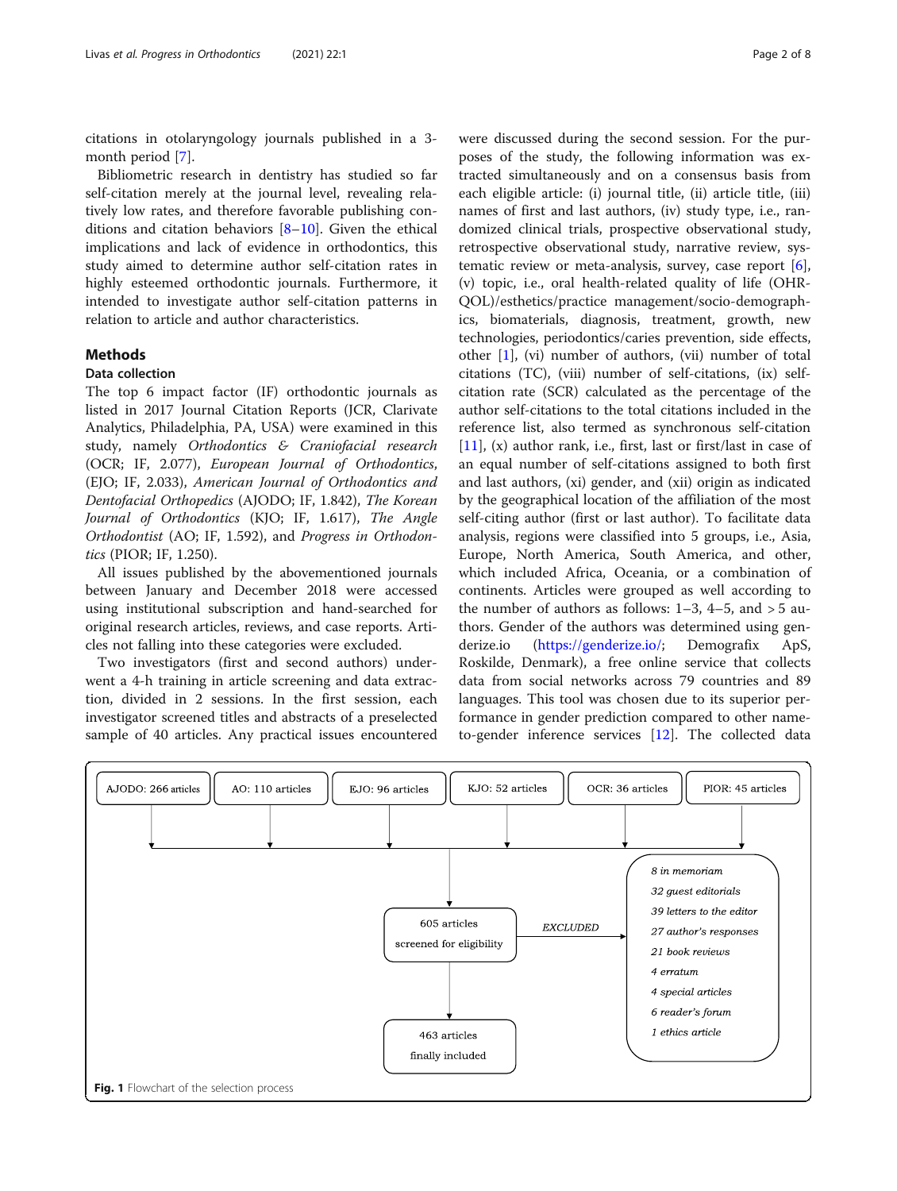<span id="page-1-0"></span>citations in otolaryngology journals published in a 3 month period [\[7](#page-6-0)].

Bibliometric research in dentistry has studied so far self-citation merely at the journal level, revealing relatively low rates, and therefore favorable publishing conditions and citation behaviors [[8](#page-6-0)–[10](#page-6-0)]. Given the ethical implications and lack of evidence in orthodontics, this study aimed to determine author self-citation rates in highly esteemed orthodontic journals. Furthermore, it intended to investigate author self-citation patterns in relation to article and author characteristics.

## **Methods**

#### Data collection

The top 6 impact factor (IF) orthodontic journals as listed in 2017 Journal Citation Reports (JCR, Clarivate Analytics, Philadelphia, PA, USA) were examined in this study, namely Orthodontics & Craniofacial research (OCR; IF, 2.077), European Journal of Orthodontics, (EJO; IF, 2.033), American Journal of Orthodontics and Dentofacial Orthopedics (AJODO; IF, 1.842), The Korean Journal of Orthodontics (KJO; IF, 1.617), The Angle Orthodontist (AO; IF, 1.592), and Progress in Orthodontics (PIOR; IF, 1.250).

All issues published by the abovementioned journals between January and December 2018 were accessed using institutional subscription and hand-searched for original research articles, reviews, and case reports. Articles not falling into these categories were excluded.

Two investigators (first and second authors) underwent a 4-h training in article screening and data extraction, divided in 2 sessions. In the first session, each investigator screened titles and abstracts of a preselected sample of 40 articles. Any practical issues encountered were discussed during the second session. For the purposes of the study, the following information was extracted simultaneously and on a consensus basis from each eligible article: (i) journal title, (ii) article title, (iii) names of first and last authors, (iv) study type, i.e., randomized clinical trials, prospective observational study, retrospective observational study, narrative review, systematic review or meta-analysis, survey, case report  $[6]$  $[6]$ , (v) topic, i.e., oral health-related quality of life (OHR-QOL)/esthetics/practice management/socio-demographics, biomaterials, diagnosis, treatment, growth, new technologies, periodontics/caries prevention, side effects, other [[1\]](#page-6-0), (vi) number of authors, (vii) number of total citations (TC), (viii) number of self-citations, (ix) selfcitation rate (SCR) calculated as the percentage of the author self-citations to the total citations included in the reference list, also termed as synchronous self-citation [[11\]](#page-6-0), (x) author rank, i.e., first, last or first/last in case of an equal number of self-citations assigned to both first and last authors, (xi) gender, and (xii) origin as indicated by the geographical location of the affiliation of the most self-citing author (first or last author). To facilitate data analysis, regions were classified into 5 groups, i.e., Asia, Europe, North America, South America, and other, which included Africa, Oceania, or a combination of continents. Articles were grouped as well according to the number of authors as follows:  $1-3$ ,  $4-5$ , and  $> 5$  authors. Gender of the authors was determined using genderize.io [\(https://genderize.io/;](https://genderize.io/) Demografix ApS, Roskilde, Denmark), a free online service that collects data from social networks across 79 countries and 89 languages. This tool was chosen due to its superior performance in gender prediction compared to other nameto-gender inference services [\[12](#page-6-0)]. The collected data

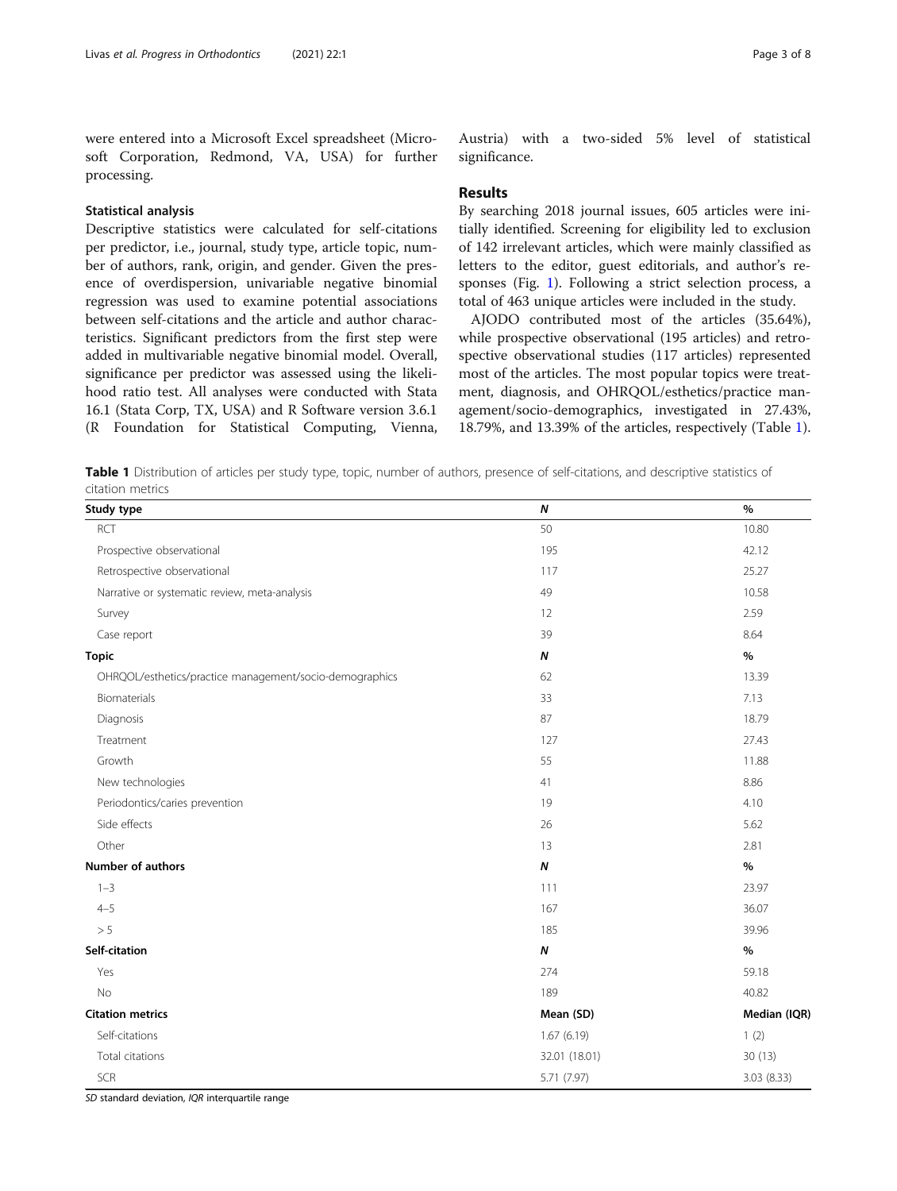<span id="page-2-0"></span>were entered into a Microsoft Excel spreadsheet (Microsoft Corporation, Redmond, VA, USA) for further processing.

### Statistical analysis

Descriptive statistics were calculated for self-citations per predictor, i.e., journal, study type, article topic, number of authors, rank, origin, and gender. Given the presence of overdispersion, univariable negative binomial regression was used to examine potential associations between self-citations and the article and author characteristics. Significant predictors from the first step were added in multivariable negative binomial model. Overall, significance per predictor was assessed using the likelihood ratio test. All analyses were conducted with Stata 16.1 (Stata Corp, TX, USA) and R Software version 3.6.1 (R Foundation for Statistical Computing, Vienna,

Austria) with a two-sided 5% level of statistical significance.

#### **Results**

By searching 2018 journal issues, 605 articles were initially identified. Screening for eligibility led to exclusion of 142 irrelevant articles, which were mainly classified as letters to the editor, guest editorials, and author's responses (Fig. [1\)](#page-1-0). Following a strict selection process, a total of 463 unique articles were included in the study.

AJODO contributed most of the articles (35.64%), while prospective observational (195 articles) and retrospective observational studies (117 articles) represented most of the articles. The most popular topics were treatment, diagnosis, and OHRQOL/esthetics/practice management/socio-demographics, investigated in 27.43%, 18.79%, and 13.39% of the articles, respectively (Table 1).

Table 1 Distribution of articles per study type, topic, number of authors, presence of self-citations, and descriptive statistics of citation metrics

| Study type                                              | $\boldsymbol{N}$ | $\%$         |
|---------------------------------------------------------|------------------|--------------|
| <b>RCT</b>                                              | 50               | 10.80        |
| Prospective observational                               | 195              | 42.12        |
| Retrospective observational                             | 117              | 25.27        |
| Narrative or systematic review, meta-analysis           | 49               | 10.58        |
| Survey                                                  | 12               | 2.59         |
| Case report                                             | 39               | 8.64         |
| <b>Topic</b>                                            | $\pmb N$         | $\%$         |
| OHRQOL/esthetics/practice management/socio-demographics | 62               | 13.39        |
| Biomaterials                                            | 33               | 7.13         |
| Diagnosis                                               | 87               | 18.79        |
| Treatment                                               | 127              | 27.43        |
| Growth                                                  | 55               | 11.88        |
| New technologies                                        | 41               | 8.86         |
| Periodontics/caries prevention                          | 19               | 4.10         |
| Side effects                                            | 26               | 5.62         |
| Other                                                   | 13               | 2.81         |
| <b>Number of authors</b>                                | $\boldsymbol{N}$ | %            |
| $1 - 3$                                                 | 111              | 23.97        |
| $4 - 5$                                                 | 167              | 36.07        |
| $> 5\,$                                                 | 185              | 39.96        |
| Self-citation                                           | N                | $\%$         |
| Yes                                                     | 274              | 59.18        |
| No                                                      | 189              | 40.82        |
| <b>Citation metrics</b>                                 | Mean (SD)        | Median (IQR) |
| Self-citations                                          | 1.67(6.19)       | 1(2)         |
| Total citations                                         | 32.01 (18.01)    | 30(13)       |
| SCR                                                     | 5.71 (7.97)      | 3.03(8.33)   |

SD standard deviation, IQR interquartile range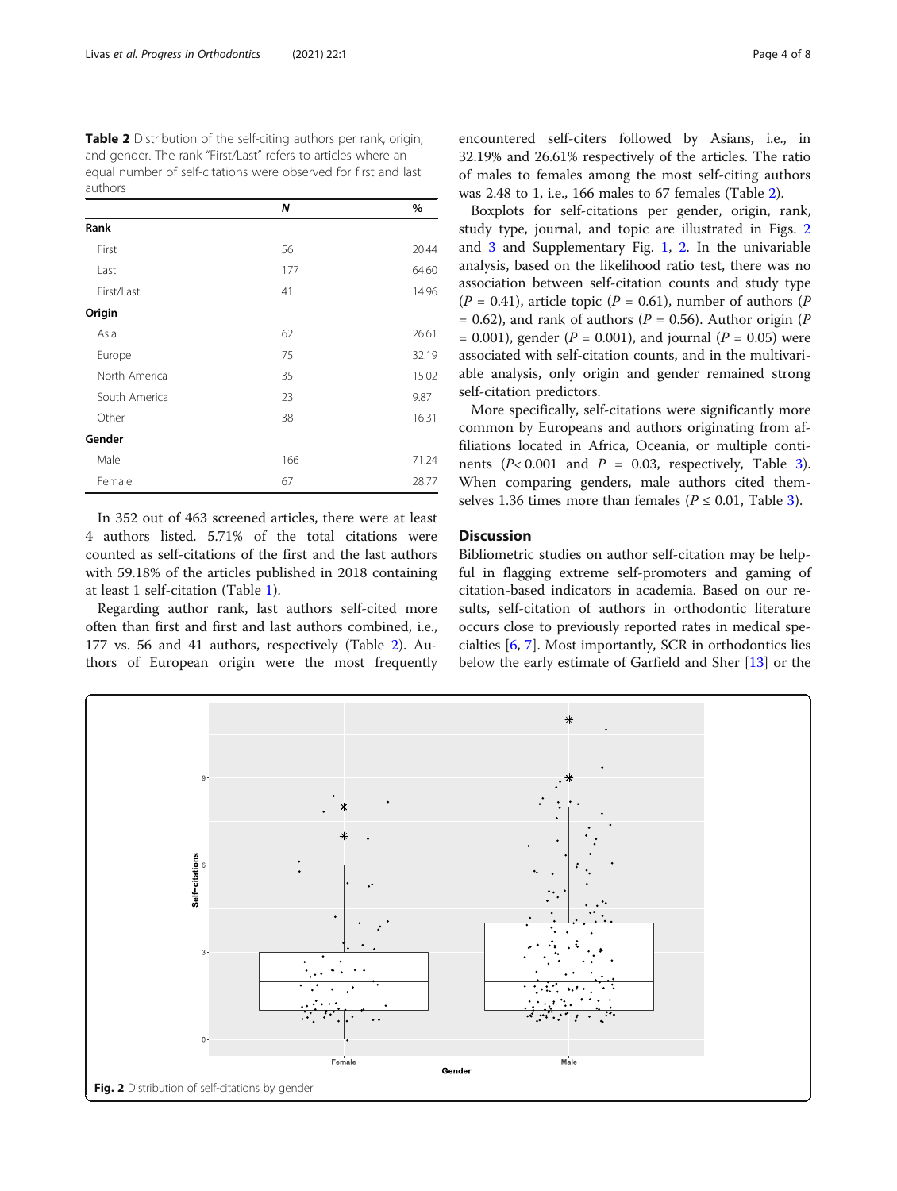Table 2 Distribution of the self-citing authors per rank, origin, and gender. The rank "First/Last" refers to articles where an equal number of self-citations were observed for first and last authors

|               | N   | %     |
|---------------|-----|-------|
| Rank          |     |       |
| First         | 56  | 20.44 |
| Last          | 177 | 64.60 |
| First/Last    | 41  | 14.96 |
| Origin        |     |       |
| Asia          | 62  | 26.61 |
| Europe        | 75  | 32.19 |
| North America | 35  | 15.02 |
| South America | 23  | 9.87  |
| Other         | 38  | 16.31 |
| Gender        |     |       |
| Male          | 166 | 71.24 |
| Female        | 67  | 28.77 |

In 352 out of 463 screened articles, there were at least 4 authors listed. 5.71% of the total citations were counted as self-citations of the first and the last authors with 59.18% of the articles published in 2018 containing at least 1 self-citation (Table [1](#page-2-0)).

Regarding author rank, last authors self-cited more often than first and first and last authors combined, i.e., 177 vs. 56 and 41 authors, respectively (Table 2). Authors of European origin were the most frequently encountered self-citers followed by Asians, i.e., in 32.19% and 26.61% respectively of the articles. The ratio of males to females among the most self-citing authors was 2.48 to 1, i.e., 166 males to 67 females (Table 2).

Boxplots for self-citations per gender, origin, rank, study type, journal, and topic are illustrated in Figs. 2 and [3](#page-4-0) and Supplementary Fig. [1](#page-6-0), [2.](#page-6-0) In the univariable analysis, based on the likelihood ratio test, there was no association between self-citation counts and study type  $(P = 0.41)$ , article topic  $(P = 0.61)$ , number of authors  $(P)$ = 0.62), and rank of authors ( $P = 0.56$ ). Author origin ( $P = 0.62$ )  $= 0.001$ ), gender (P = 0.001), and journal (P = 0.05) were associated with self-citation counts, and in the multivariable analysis, only origin and gender remained strong self-citation predictors.

More specifically, self-citations were significantly more common by Europeans and authors originating from affiliations located in Africa, Oceania, or multiple continents  $(P< 0.001$  and  $P = 0.03$  $P = 0.03$ , respectively, Table 3). When comparing genders, male authors cited themselves 1.36 times more than females ( $P \le 0.01$ , Table [3\)](#page-5-0).

#### **Discussion**

Bibliometric studies on author self-citation may be helpful in flagging extreme self-promoters and gaming of citation-based indicators in academia. Based on our results, self-citation of authors in orthodontic literature occurs close to previously reported rates in medical specialties [[6,](#page-6-0) [7\]](#page-6-0). Most importantly, SCR in orthodontics lies below the early estimate of Garfield and Sher [[13](#page-6-0)] or the

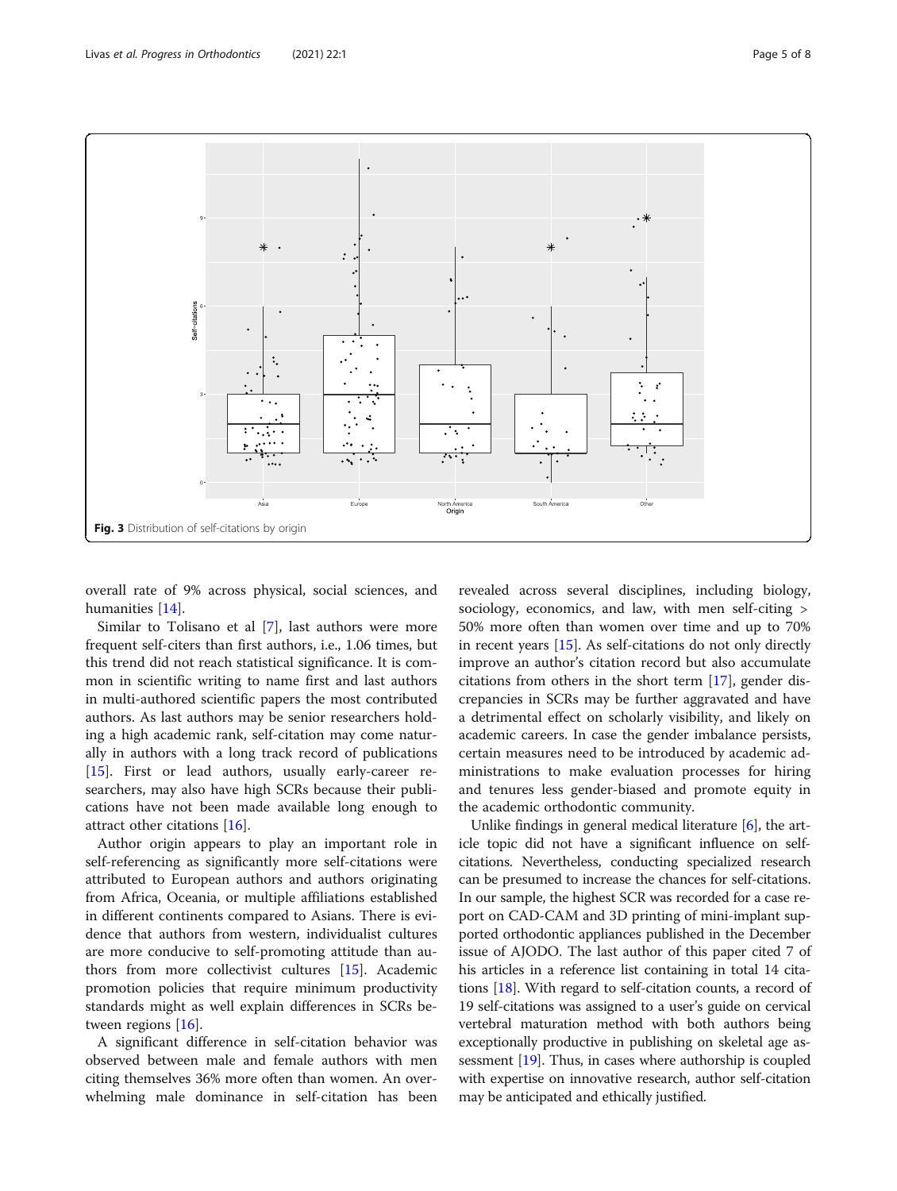<span id="page-4-0"></span>

overall rate of 9% across physical, social sciences, and humanities [[14\]](#page-7-0).

Similar to Tolisano et al [\[7](#page-6-0)], last authors were more frequent self-citers than first authors, i.e., 1.06 times, but this trend did not reach statistical significance. It is common in scientific writing to name first and last authors in multi-authored scientific papers the most contributed authors. As last authors may be senior researchers holding a high academic rank, self-citation may come naturally in authors with a long track record of publications [[15\]](#page-7-0). First or lead authors, usually early-career researchers, may also have high SCRs because their publications have not been made available long enough to attract other citations [\[16](#page-7-0)].

Author origin appears to play an important role in self-referencing as significantly more self-citations were attributed to European authors and authors originating from Africa, Oceania, or multiple affiliations established in different continents compared to Asians. There is evidence that authors from western, individualist cultures are more conducive to self-promoting attitude than authors from more collectivist cultures [[15\]](#page-7-0). Academic promotion policies that require minimum productivity standards might as well explain differences in SCRs between regions [[16](#page-7-0)].

A significant difference in self-citation behavior was observed between male and female authors with men citing themselves 36% more often than women. An overwhelming male dominance in self-citation has been

revealed across several disciplines, including biology, sociology, economics, and law, with men self-citing > 50% more often than women over time and up to 70% in recent years [[15\]](#page-7-0). As self-citations do not only directly improve an author's citation record but also accumulate citations from others in the short term [\[17](#page-7-0)], gender discrepancies in SCRs may be further aggravated and have a detrimental effect on scholarly visibility, and likely on academic careers. In case the gender imbalance persists, certain measures need to be introduced by academic administrations to make evaluation processes for hiring and tenures less gender-biased and promote equity in the academic orthodontic community.

Unlike findings in general medical literature [[6](#page-6-0)], the article topic did not have a significant influence on selfcitations. Nevertheless, conducting specialized research can be presumed to increase the chances for self-citations. In our sample, the highest SCR was recorded for a case report on CAD-CAM and 3D printing of mini-implant supported orthodontic appliances published in the December issue of AJODO. The last author of this paper cited 7 of his articles in a reference list containing in total 14 citations [[18](#page-7-0)]. With regard to self-citation counts, a record of 19 self-citations was assigned to a user's guide on cervical vertebral maturation method with both authors being exceptionally productive in publishing on skeletal age assessment [\[19\]](#page-7-0). Thus, in cases where authorship is coupled with expertise on innovative research, author self-citation may be anticipated and ethically justified.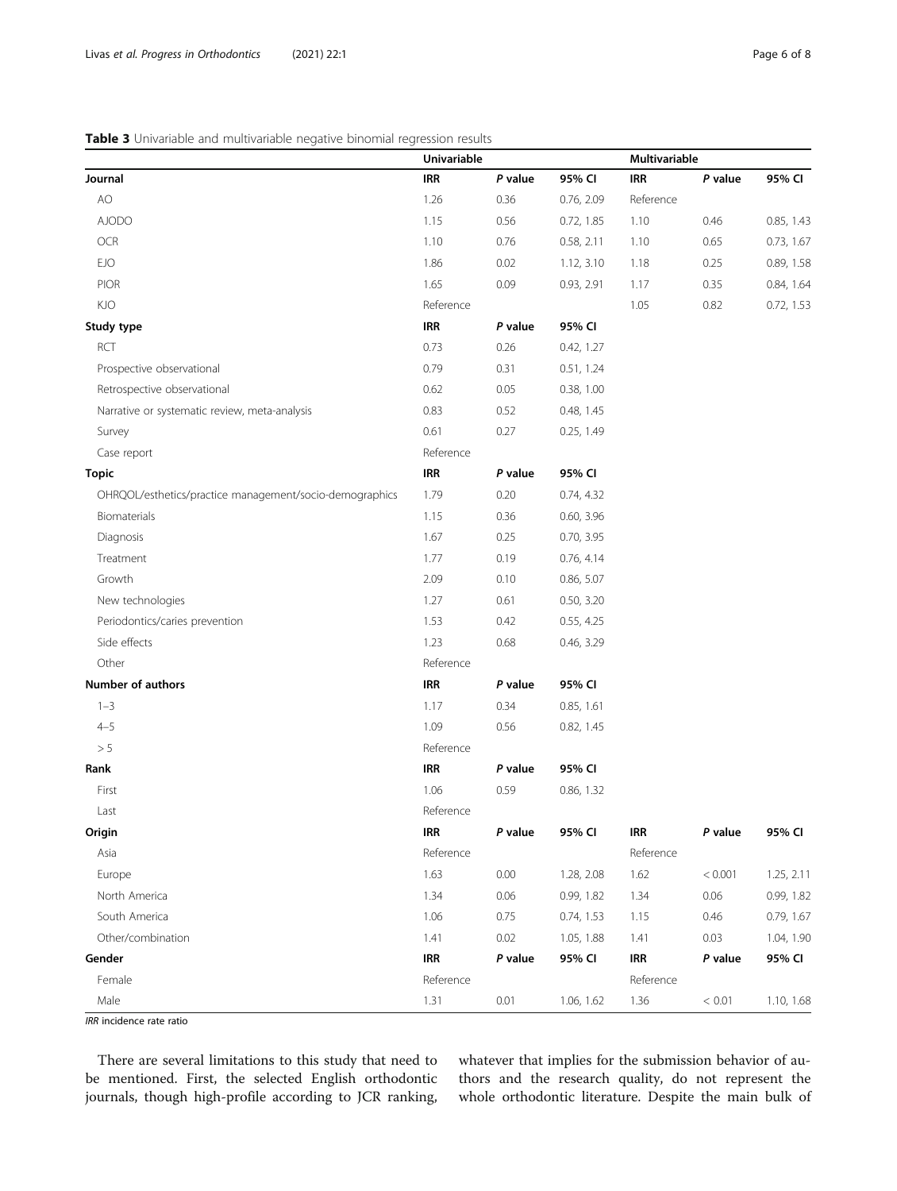## <span id="page-5-0"></span>Table 3 Univariable and multivariable negative binomial regression results

| Journal                                                 | <b>Univariable</b> |         |            | Multivariable |         |            |
|---------------------------------------------------------|--------------------|---------|------------|---------------|---------|------------|
|                                                         | IRR                | P value | 95% CI     | <b>IRR</b>    | P value | 95% CI     |
| AO                                                      | 1.26               | 0.36    | 0.76, 2.09 | Reference     |         |            |
| <b>AJODO</b>                                            | 1.15               | 0.56    | 0.72, 1.85 | 1.10          | 0.46    | 0.85, 1.43 |
| OCR                                                     | 1.10               | 0.76    | 0.58, 2.11 | 1.10          | 0.65    | 0.73, 1.67 |
| <b>EJO</b>                                              | 1.86               | 0.02    | 1.12, 3.10 | 1.18          | 0.25    | 0.89, 1.58 |
| PIOR                                                    | 1.65               | 0.09    | 0.93, 2.91 | 1.17          | 0.35    | 0.84, 1.64 |
| <b>KJO</b>                                              | Reference          |         |            | 1.05          | 0.82    | 0.72, 1.53 |
| Study type                                              | <b>IRR</b>         | P value | 95% CI     |               |         |            |
| RCT                                                     | 0.73               | 0.26    | 0.42, 1.27 |               |         |            |
| Prospective observational                               | 0.79               | 0.31    | 0.51, 1.24 |               |         |            |
| Retrospective observational                             | 0.62               | 0.05    | 0.38, 1.00 |               |         |            |
| Narrative or systematic review, meta-analysis           | 0.83               | 0.52    | 0.48, 1.45 |               |         |            |
| Survey                                                  | 0.61               | 0.27    | 0.25, 1.49 |               |         |            |
| Case report                                             | Reference          |         |            |               |         |            |
| <b>Topic</b>                                            | <b>IRR</b>         | P value | 95% CI     |               |         |            |
| OHRQOL/esthetics/practice management/socio-demographics | 1.79               | 0.20    | 0.74, 4.32 |               |         |            |
| Biomaterials                                            | 1.15               | 0.36    | 0.60, 3.96 |               |         |            |
| Diagnosis                                               | 1.67               | 0.25    | 0.70, 3.95 |               |         |            |
| Treatment                                               | 1.77               | 0.19    | 0.76, 4.14 |               |         |            |
| Growth                                                  | 2.09               | 0.10    | 0.86, 5.07 |               |         |            |
| New technologies                                        | 1.27               | 0.61    | 0.50, 3.20 |               |         |            |
| Periodontics/caries prevention                          | 1.53               | 0.42    | 0.55, 4.25 |               |         |            |
| Side effects                                            | 1.23               | 0.68    | 0.46, 3.29 |               |         |            |
| Other                                                   | Reference          |         |            |               |         |            |
| <b>Number of authors</b>                                | <b>IRR</b>         | P value | 95% CI     |               |         |            |
| $1 - 3$                                                 | 1.17               | 0.34    | 0.85, 1.61 |               |         |            |
| $4 - 5$                                                 | 1.09               | 0.56    | 0.82, 1.45 |               |         |            |
| > 5                                                     | Reference          |         |            |               |         |            |
| Rank                                                    | <b>IRR</b>         | P value | 95% CI     |               |         |            |
| First                                                   | 1.06               | 0.59    | 0.86, 1.32 |               |         |            |
| Last                                                    | Reference          |         |            |               |         |            |
| Origin                                                  | <b>IRR</b>         | P value | 95% CI     | <b>IRR</b>    | P value | 95% CI     |
| Asia                                                    | Reference          |         | Reference  |               |         |            |
| Europe                                                  | 1.63               | 0.00    | 1.28, 2.08 | 1.62          | < 0.001 | 1.25, 2.11 |
| North America                                           | 1.34               | 0.06    | 0.99, 1.82 | 1.34          | 0.06    | 0.99, 1.82 |
| South America                                           | 1.06               | 0.75    | 0.74, 1.53 | 1.15          | 0.46    | 0.79, 1.67 |
| Other/combination                                       | 1.41               | 0.02    | 1.05, 1.88 | 1.41          | 0.03    | 1.04, 1.90 |
| Gender                                                  | <b>IRR</b>         | P value | 95% CI     | <b>IRR</b>    | P value | 95% CI     |
| Female                                                  | Reference          |         |            | Reference     |         |            |
| Male                                                    | 1.31               | 0.01    | 1.06, 1.62 | 1.36          | < 0.01  | 1.10, 1.68 |

**IRR** incidence rate ratio

There are several limitations to this study that need to be mentioned. First, the selected English orthodontic journals, though high-profile according to JCR ranking,

whatever that implies for the submission behavior of authors and the research quality, do not represent the whole orthodontic literature. Despite the main bulk of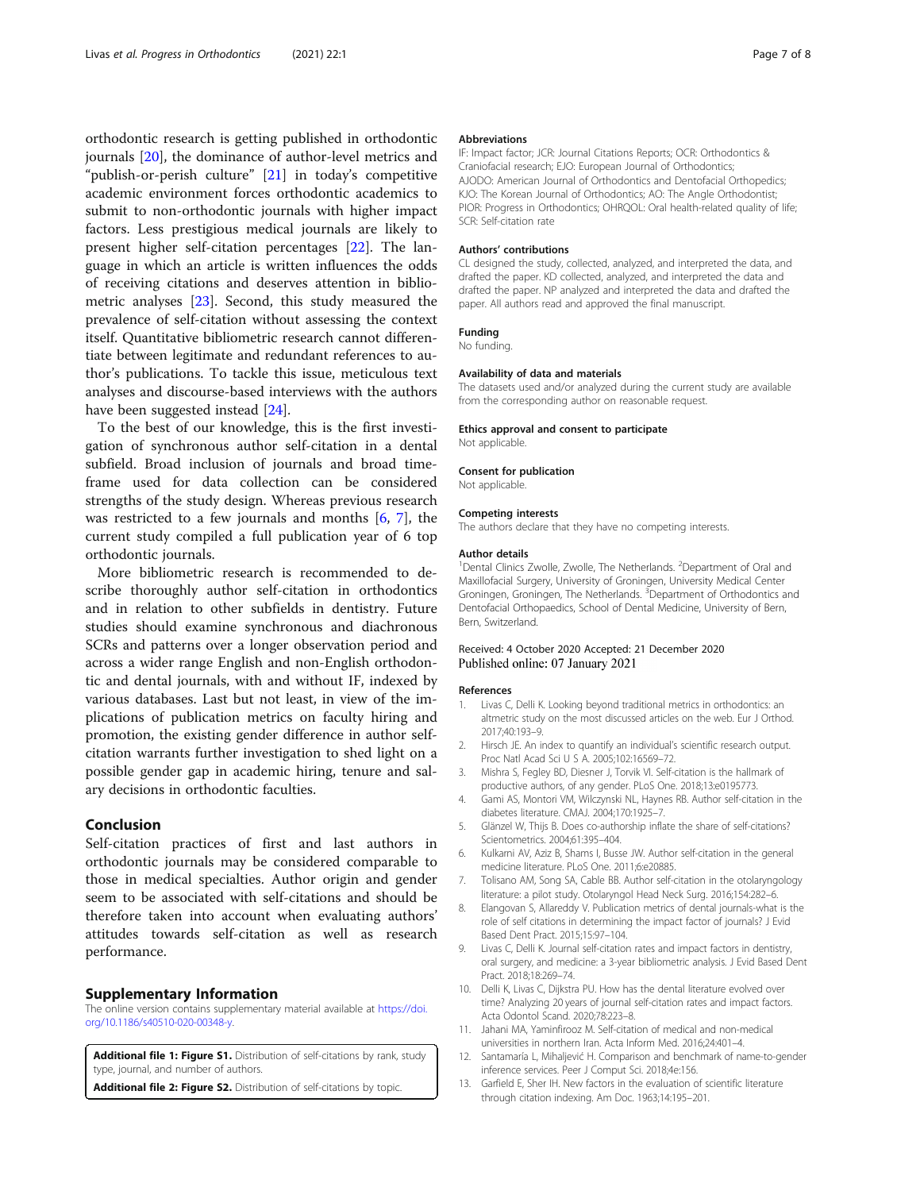<span id="page-6-0"></span>orthodontic research is getting published in orthodontic journals [[20\]](#page-7-0), the dominance of author-level metrics and "publish-or-perish culture" [[21](#page-7-0)] in today's competitive academic environment forces orthodontic academics to submit to non-orthodontic journals with higher impact factors. Less prestigious medical journals are likely to present higher self-citation percentages [[22\]](#page-7-0). The language in which an article is written influences the odds of receiving citations and deserves attention in bibliometric analyses [\[23](#page-7-0)]. Second, this study measured the prevalence of self-citation without assessing the context itself. Quantitative bibliometric research cannot differentiate between legitimate and redundant references to author's publications. To tackle this issue, meticulous text analyses and discourse-based interviews with the authors have been suggested instead [[24\]](#page-7-0).

To the best of our knowledge, this is the first investigation of synchronous author self-citation in a dental subfield. Broad inclusion of journals and broad timeframe used for data collection can be considered strengths of the study design. Whereas previous research was restricted to a few journals and months [6, 7], the current study compiled a full publication year of 6 top orthodontic journals.

More bibliometric research is recommended to describe thoroughly author self-citation in orthodontics and in relation to other subfields in dentistry. Future studies should examine synchronous and diachronous SCRs and patterns over a longer observation period and across a wider range English and non-English orthodontic and dental journals, with and without IF, indexed by various databases. Last but not least, in view of the implications of publication metrics on faculty hiring and promotion, the existing gender difference in author selfcitation warrants further investigation to shed light on a possible gender gap in academic hiring, tenure and salary decisions in orthodontic faculties.

### Conclusion

Self-citation practices of first and last authors in orthodontic journals may be considered comparable to those in medical specialties. Author origin and gender seem to be associated with self-citations and should be therefore taken into account when evaluating authors' attitudes towards self-citation as well as research performance.

#### Supplementary Information

The online version contains supplementary material available at [https://doi.](https://doi.org/10.1186/s40510-020-00348-y) [org/10.1186/s40510-020-00348-y](https://doi.org/10.1186/s40510-020-00348-y).

Additional file 1: Figure S1. Distribution of self-citations by rank, study type, journal, and number of authors.

Additional file 2: Figure S2. Distribution of self-citations by topic.

#### Abbreviations

IF: Impact factor; JCR: Journal Citations Reports; OCR: Orthodontics & Craniofacial research; EJO: European Journal of Orthodontics; AJODO: American Journal of Orthodontics and Dentofacial Orthopedics; KJO: The Korean Journal of Orthodontics; AO: The Angle Orthodontist; PIOR: Progress in Orthodontics; OHRQOL: Oral health-related quality of life; SCR: Self-citation rate

#### Authors' contributions

CL designed the study, collected, analyzed, and interpreted the data, and drafted the paper. KD collected, analyzed, and interpreted the data and drafted the paper. NP analyzed and interpreted the data and drafted the paper. All authors read and approved the final manuscript.

#### Funding

No funding.

#### Availability of data and materials

The datasets used and/or analyzed during the current study are available from the corresponding author on reasonable request.

#### Ethics approval and consent to participate

Not applicable.

#### Consent for publication

Not applicable.

#### Competing interests

The authors declare that they have no competing interests.

#### Author details

<sup>1</sup> Dental Clinics Zwolle, Zwolle, The Netherlands. <sup>2</sup> Department of Oral and Maxillofacial Surgery, University of Groningen, University Medical Center Groningen, Groningen, The Netherlands. <sup>3</sup>Department of Orthodontics and Dentofacial Orthopaedics, School of Dental Medicine, University of Bern, Bern, Switzerland.

#### Received: 4 October 2020 Accepted: 21 December 2020 Published online: 07 January 2021

#### References

- 1. Livas C, Delli K. Looking beyond traditional metrics in orthodontics: an altmetric study on the most discussed articles on the web. Eur J Orthod. 2017;40:193–9.
- 2. Hirsch JE. An index to quantify an individual's scientific research output. Proc Natl Acad Sci U S A. 2005;102:16569–72.
- 3. Mishra S, Fegley BD, Diesner J, Torvik VI. Self-citation is the hallmark of productive authors, of any gender. PLoS One. 2018;13:e0195773.
- 4. Gami AS, Montori VM, Wilczynski NL, Haynes RB. Author self-citation in the diabetes literature. CMAJ. 2004;170:1925–7.
- 5. Glänzel W, Thijs B. Does co-authorship inflate the share of self-citations? Scientometrics. 2004;61:395–404.
- 6. Kulkarni AV, Aziz B, Shams I, Busse JW. Author self-citation in the general medicine literature. PLoS One. 2011;6:e20885.
- 7. Tolisano AM, Song SA, Cable BB. Author self-citation in the otolaryngology literature: a pilot study. Otolaryngol Head Neck Surg. 2016;154:282–6.
- 8. Elangovan S, Allareddy V. Publication metrics of dental journals-what is the role of self citations in determining the impact factor of journals? J Evid Based Dent Pract. 2015;15:97–104.
- 9. Livas C, Delli K. Journal self-citation rates and impact factors in dentistry, oral surgery, and medicine: a 3-year bibliometric analysis. J Evid Based Dent Pract. 2018;18:269–74.
- 10. Delli K, Livas C, Dijkstra PU. How has the dental literature evolved over time? Analyzing 20 years of journal self-citation rates and impact factors. Acta Odontol Scand. 2020;78:223–8.
- 11. Jahani MA, Yaminfirooz M. Self-citation of medical and non-medical universities in northern Iran. Acta Inform Med. 2016;24:401–4.
- 12. Santamaría L, Mihaljević H. Comparison and benchmark of name-to-gender inference services. Peer J Comput Sci. 2018;4e:156.
- 13. Garfield E, Sher IH. New factors in the evaluation of scientific literature through citation indexing. Am Doc. 1963;14:195–201.